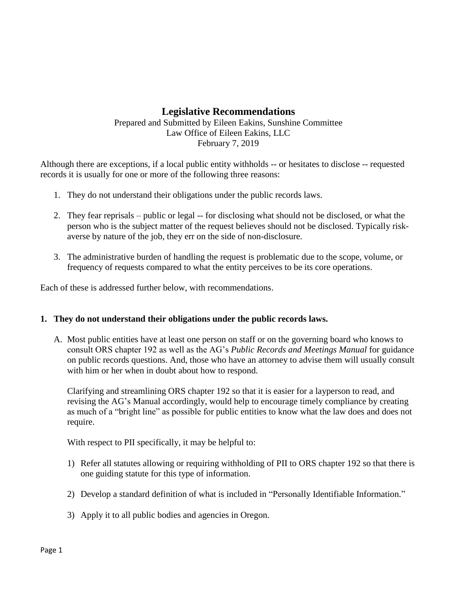## **Legislative Recommendations**

## Prepared and Submitted by Eileen Eakins, Sunshine Committee Law Office of Eileen Eakins, LLC February 7, 2019

Although there are exceptions, if a local public entity withholds -- or hesitates to disclose -- requested records it is usually for one or more of the following three reasons:

- 1. They do not understand their obligations under the public records laws.
- 2. They fear reprisals public or legal -- for disclosing what should not be disclosed, or what the person who is the subject matter of the request believes should not be disclosed. Typically riskaverse by nature of the job, they err on the side of non-disclosure.
- 3. The administrative burden of handling the request is problematic due to the scope, volume, or frequency of requests compared to what the entity perceives to be its core operations.

Each of these is addressed further below, with recommendations.

## **1. They do not understand their obligations under the public records laws.**

A. Most public entities have at least one person on staff or on the governing board who knows to consult ORS chapter 192 as well as the AG's *Public Records and Meetings Manual* for guidance on public records questions. And, those who have an attorney to advise them will usually consult with him or her when in doubt about how to respond.

Clarifying and streamlining ORS chapter 192 so that it is easier for a layperson to read, and revising the AG's Manual accordingly, would help to encourage timely compliance by creating as much of a "bright line" as possible for public entities to know what the law does and does not require.

With respect to PII specifically, it may be helpful to:

- 1) Refer all statutes allowing or requiring withholding of PII to ORS chapter 192 so that there is one guiding statute for this type of information.
- 2) Develop a standard definition of what is included in "Personally Identifiable Information."
- 3) Apply it to all public bodies and agencies in Oregon.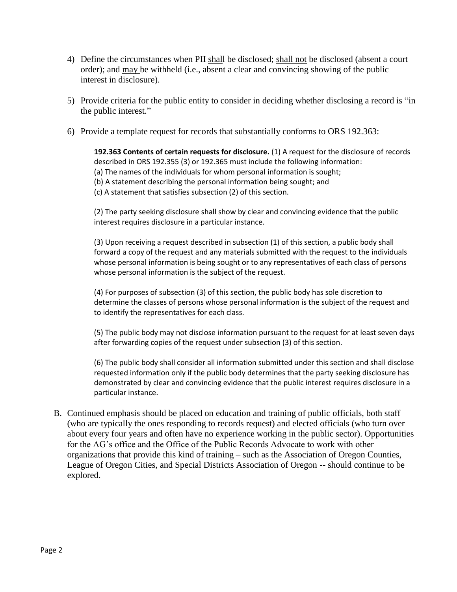- 4) Define the circumstances when PII shall be disclosed; shall not be disclosed (absent a court order); and may be withheld (i.e., absent a clear and convincing showing of the public interest in disclosure).
- 5) Provide criteria for the public entity to consider in deciding whether disclosing a record is "in the public interest."
- 6) Provide a template request for records that substantially conforms to ORS 192.363:

**192.363 Contents of certain requests for disclosure.** (1) A request for the disclosure of records described in ORS 192.355 (3) or 192.365 must include the following information:

- (a) The names of the individuals for whom personal information is sought;
- (b) A statement describing the personal information being sought; and
- (c) A statement that satisfies subsection (2) of this section.

(2) The party seeking disclosure shall show by clear and convincing evidence that the public interest requires disclosure in a particular instance.

(3) Upon receiving a request described in subsection (1) of this section, a public body shall forward a copy of the request and any materials submitted with the request to the individuals whose personal information is being sought or to any representatives of each class of persons whose personal information is the subject of the request.

(4) For purposes of subsection (3) of this section, the public body has sole discretion to determine the classes of persons whose personal information is the subject of the request and to identify the representatives for each class.

(5) The public body may not disclose information pursuant to the request for at least seven days after forwarding copies of the request under subsection (3) of this section.

(6) The public body shall consider all information submitted under this section and shall disclose requested information only if the public body determines that the party seeking disclosure has demonstrated by clear and convincing evidence that the public interest requires disclosure in a particular instance.

B. Continued emphasis should be placed on education and training of public officials, both staff (who are typically the ones responding to records request) and elected officials (who turn over about every four years and often have no experience working in the public sector). Opportunities for the AG's office and the Office of the Public Records Advocate to work with other organizations that provide this kind of training – such as the Association of Oregon Counties, League of Oregon Cities, and Special Districts Association of Oregon -- should continue to be explored.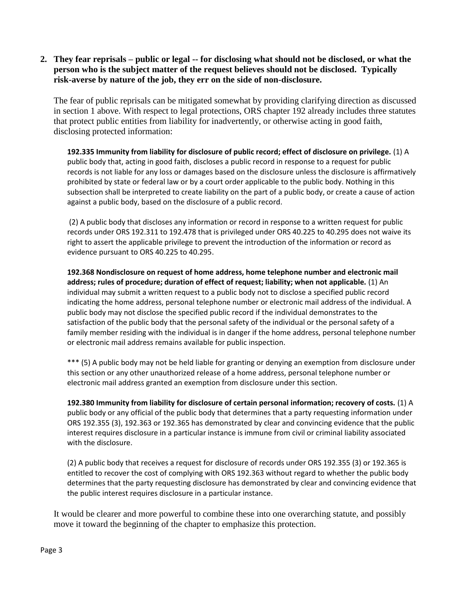**2. They fear reprisals – public or legal -- for disclosing what should not be disclosed, or what the person who is the subject matter of the request believes should not be disclosed. Typically risk-averse by nature of the job, they err on the side of non-disclosure.**

The fear of public reprisals can be mitigated somewhat by providing clarifying direction as discussed in section 1 above. With respect to legal protections, ORS chapter 192 already includes three statutes that protect public entities from liability for inadvertently, or otherwise acting in good faith, disclosing protected information:

**192.335 Immunity from liability for disclosure of public record; effect of disclosure on privilege.** (1) A public body that, acting in good faith, discloses a public record in response to a request for public records is not liable for any loss or damages based on the disclosure unless the disclosure is affirmatively prohibited by state or federal law or by a court order applicable to the public body. Nothing in this subsection shall be interpreted to create liability on the part of a public body, or create a cause of action against a public body, based on the disclosure of a public record.

(2) A public body that discloses any information or record in response to a written request for public records under ORS 192.311 to 192.478 that is privileged under ORS 40.225 to 40.295 does not waive its right to assert the applicable privilege to prevent the introduction of the information or record as evidence pursuant to ORS 40.225 to 40.295.

**192.368 Nondisclosure on request of home address, home telephone number and electronic mail address; rules of procedure; duration of effect of request; liability; when not applicable.** (1) An individual may submit a written request to a public body not to disclose a specified public record indicating the home address, personal telephone number or electronic mail address of the individual. A public body may not disclose the specified public record if the individual demonstrates to the satisfaction of the public body that the personal safety of the individual or the personal safety of a family member residing with the individual is in danger if the home address, personal telephone number or electronic mail address remains available for public inspection.

\*\*\* (5) A public body may not be held liable for granting or denying an exemption from disclosure under this section or any other unauthorized release of a home address, personal telephone number or electronic mail address granted an exemption from disclosure under this section.

**192.380 Immunity from liability for disclosure of certain personal information; recovery of costs.** (1) A public body or any official of the public body that determines that a party requesting information under ORS 192.355 (3), 192.363 or 192.365 has demonstrated by clear and convincing evidence that the public interest requires disclosure in a particular instance is immune from civil or criminal liability associated with the disclosure.

(2) A public body that receives a request for disclosure of records under ORS 192.355 (3) or 192.365 is entitled to recover the cost of complying with ORS 192.363 without regard to whether the public body determines that the party requesting disclosure has demonstrated by clear and convincing evidence that the public interest requires disclosure in a particular instance.

It would be clearer and more powerful to combine these into one overarching statute, and possibly move it toward the beginning of the chapter to emphasize this protection.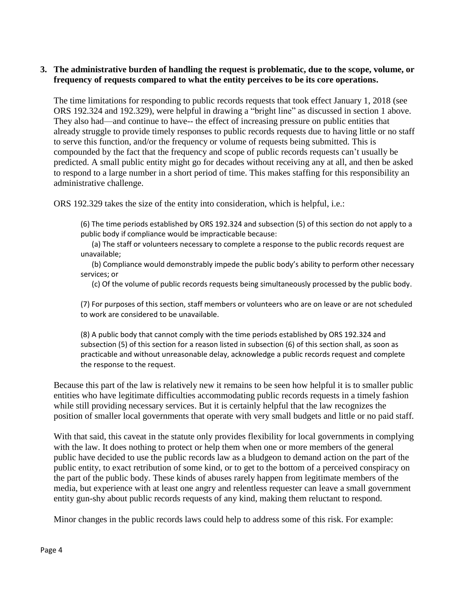## **3. The administrative burden of handling the request is problematic, due to the scope, volume, or frequency of requests compared to what the entity perceives to be its core operations.**

The time limitations for responding to public records requests that took effect January 1, 2018 (see ORS 192.324 and 192.329), were helpful in drawing a "bright line" as discussed in section 1 above. They also had—and continue to have-- the effect of increasing pressure on public entities that already struggle to provide timely responses to public records requests due to having little or no staff to serve this function, and/or the frequency or volume of requests being submitted. This is compounded by the fact that the frequency and scope of public records requests can't usually be predicted. A small public entity might go for decades without receiving any at all, and then be asked to respond to a large number in a short period of time. This makes staffing for this responsibility an administrative challenge.

ORS 192.329 takes the size of the entity into consideration, which is helpful, i.e.:

(6) The time periods established by ORS 192.324 and subsection (5) of this section do not apply to a public body if compliance would be impracticable because:

 (a) The staff or volunteers necessary to complete a response to the public records request are unavailable;

 (b) Compliance would demonstrably impede the public body's ability to perform other necessary services; or

(c) Of the volume of public records requests being simultaneously processed by the public body.

(7) For purposes of this section, staff members or volunteers who are on leave or are not scheduled to work are considered to be unavailable.

(8) A public body that cannot comply with the time periods established by ORS 192.324 and subsection (5) of this section for a reason listed in subsection (6) of this section shall, as soon as practicable and without unreasonable delay, acknowledge a public records request and complete the response to the request.

Because this part of the law is relatively new it remains to be seen how helpful it is to smaller public entities who have legitimate difficulties accommodating public records requests in a timely fashion while still providing necessary services. But it is certainly helpful that the law recognizes the position of smaller local governments that operate with very small budgets and little or no paid staff.

With that said, this caveat in the statute only provides flexibility for local governments in complying with the law. It does nothing to protect or help them when one or more members of the general public have decided to use the public records law as a bludgeon to demand action on the part of the public entity, to exact retribution of some kind, or to get to the bottom of a perceived conspiracy on the part of the public body. These kinds of abuses rarely happen from legitimate members of the media, but experience with at least one angry and relentless requester can leave a small government entity gun-shy about public records requests of any kind, making them reluctant to respond.

Minor changes in the public records laws could help to address some of this risk. For example: